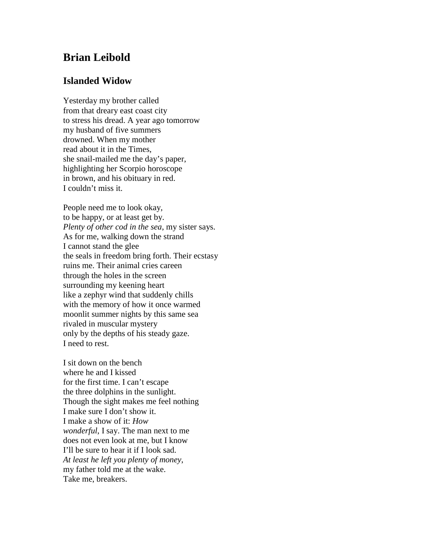## **Brian Leibold**

## **Islanded Widow**

Yesterday my brother called from that dreary east coast city to stress his dread. A year ago tomorrow my husband of five summers drowned. When my mother read about it in the Times, she snail-mailed me the day's paper, highlighting her Scorpio horoscope in brown, and his obituary in red. I couldn't miss it.

People need me to look okay, to be happy, or at least get by. *Plenty of other cod in the sea*, my sister says. As for me, walking down the strand I cannot stand the glee the seals in freedom bring forth. Their ecstasy ruins me. Their animal cries careen through the holes in the screen surrounding my keening heart like a zephyr wind that suddenly chills with the memory of how it once warmed moonlit summer nights by this same sea rivaled in muscular mystery only by the depths of his steady gaze. I need to rest.

I sit down on the bench where he and I kissed for the first time. I can't escape the three dolphins in the sunlight. Though the sight makes me feel nothing I make sure I don't show it. I make a show of it: *How wonderful*, I say. The man next to me does not even look at me, but I know I'll be sure to hear it if I look sad. *At least he left you plenty of money*, my father told me at the wake. Take me, breakers.